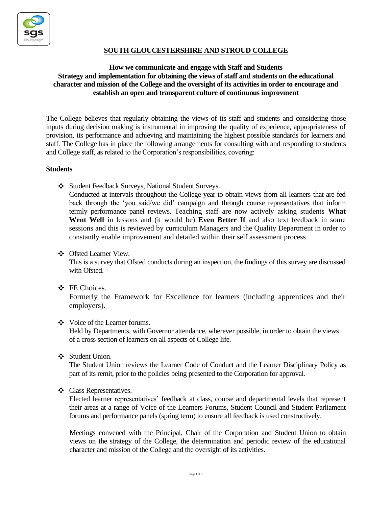

# **SOUTH GLOUCESTERSHIRE AND STROUD COLLEGE**

## **How we communicate and engage with Staff and Students Strategy and implementation for obtaining the views of staff and students on the educational character and mission of the College and the oversight of its activities in order to encourage and establish an open and transparent culture of continuous improvment**

The College believes that regularly obtaining the views of its staff and students and considering those inputs during decision making is instrumental in improving the quality of experience, appropriateness of provision, its performance and achieving and maintaining the highest possible standards for learners and staff. The College has in place the following arrangements for consulting with and responding to students and College staff, as related to the Corporation's responsibilities, covering:

## **Students**

Student Feedback Surveys, National Student Surveys.

Conducted at intervals throughout the College year to obtain views from all learners that are fed back through the 'you said/we did' campaign and through course representatives that inform termly performance panel reviews. Teaching staff are now actively asking students **What Went Well** in lessons and (it would be) **Even Better If** and also text feedback in some sessions and this is reviewed by curriculum Managers and the Quality Department in order to constantly enable improvement and detailed within their self assessment process

Ofsted Learner View.

This is a survey that Ofsted conducts during an inspection, the findings of this survey are discussed with Ofsted.

❖ FE Choices.

Formerly the Framework for Excellence for learners (including apprentices and their employers)**.**

## Voice of the Learner forums.

Held by Departments, with Governor attendance, wherever possible, in order to obtain the views of a cross section of learners on all aspects of College life.

Student Union.

The Student Union reviews the Learner Code of Conduct and the Learner Disciplinary Policy as part of its remit, prior to the policies being presented to the Corporation for approval.

Class Representatives.

Elected learner representatives' feedback at class, course and departmental levels that represent their areas at a range of Voice of the Learners Forums, Student Council and Student Parliament forums and performance panels (spring term) to ensure all feedback is used constructively.

Meetings convened with the Principal, Chair of the Corporation and Student Union to obtain views on the strategy of the College, the determination and periodic review of the educational character and mission of the College and the oversight of its activities.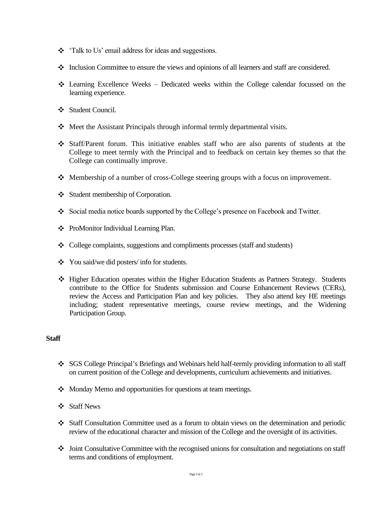- 'Talk to Us' email address for ideas and suggestions.
- Inclusion Committee to ensure the views and opinions of all learners and staff are considered.
- Learning Excellence Weeks Dedicated weeks within the College calendar focussed on the learning experience.
- Student Council.
- Meet the Assistant Principals through informal termly departmental visits.
- Staff/Parent forum. This initiative enables staff who are also parents of students at the College to meet termly with the Principal and to feedback on certain key themes so that the College can continually improve.
- Membership of a number of cross-College steering groups with a focus on improvement.
- Student membership of Corporation.
- Social media notice boards supported by the College's presence on Facebook and Twitter.
- ❖ ProMonitor Individual Learning Plan.
- $\div$  College complaints, suggestions and compliments processes (staff and students)
- You said/we did posters/ info for students.
- Higher Education operates within the Higher Education Students as Partners Strategy. Students contribute to the Office for Students submission and Course Enhancement Reviews (CERs), review the Access and Participation Plan and key policies. They also attend key HE meetings including; student representative meetings, course review meetings, and the Widening Participation Group.

#### **Staff**

- \* SGS College Principal's Briefings and Webinars held half-termly providing information to all staff on current position of the College and developments, curriculum achievements and initiatives.
- $\bullet\bullet\text{ Monday Memo and opportunities for questions at team meetings.}$
- Staff News
- Staff Consultation Committee used as a forum to obtain views on the determination and periodic review of the educational character and mission of the College and the oversight of its activities.
- $\cdot \cdot$  Joint Consultative Committee with the recognised unions for consultation and negotiations on staff terms and conditions of employment.